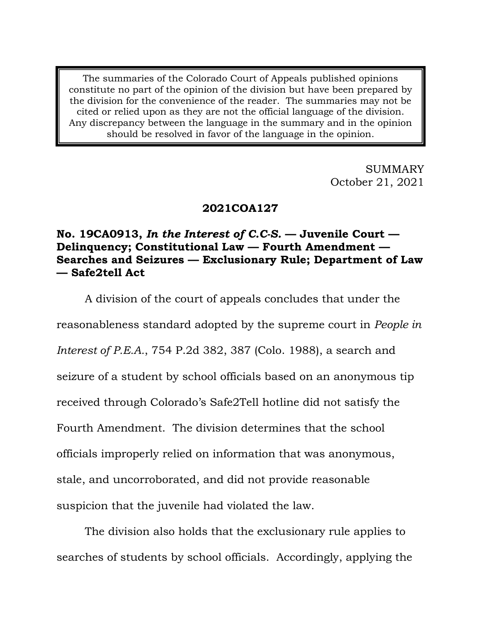The summaries of the Colorado Court of Appeals published opinions constitute no part of the opinion of the division but have been prepared by the division for the convenience of the reader. The summaries may not be cited or relied upon as they are not the official language of the division. Any discrepancy between the language in the summary and in the opinion should be resolved in favor of the language in the opinion.

> SUMMARY October 21, 2021

# **2021COA127**

# **No. 19CA0913,** *In the Interest of C.C-S.* **— Juvenile Court — Delinquency; Constitutional Law — Fourth Amendment — Searches and Seizures — Exclusionary Rule; Department of Law — Safe2tell Act**

A division of the court of appeals concludes that under the

reasonableness standard adopted by the supreme court in *People in* 

*Interest of P.E.A.*, 754 P.2d 382, 387 (Colo. 1988), a search and

seizure of a student by school officials based on an anonymous tip

received through Colorado's Safe2Tell hotline did not satisfy the

Fourth Amendment. The division determines that the school

officials improperly relied on information that was anonymous,

stale, and uncorroborated, and did not provide reasonable

suspicion that the juvenile had violated the law.

The division also holds that the exclusionary rule applies to searches of students by school officials. Accordingly, applying the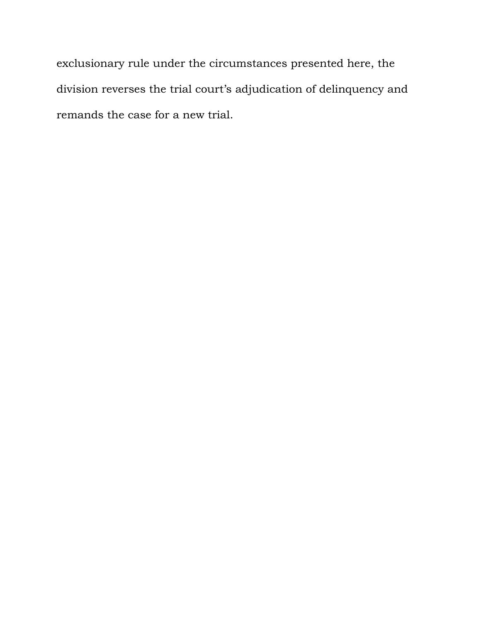exclusionary rule under the circumstances presented here, the division reverses the trial court's adjudication of delinquency and remands the case for a new trial.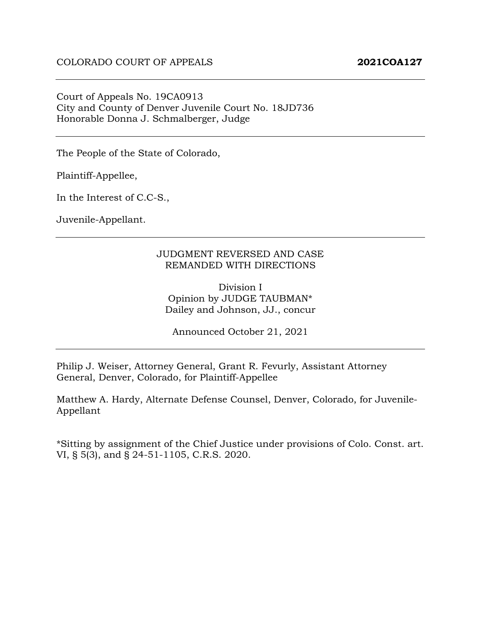Court of Appeals No. 19CA0913 City and County of Denver Juvenile Court No. 18JD736 Honorable Donna J. Schmalberger, Judge

The People of the State of Colorado,

Plaintiff-Appellee,

In the Interest of C.C-S.,

Juvenile-Appellant.

#### JUDGMENT REVERSED AND CASE REMANDED WITH DIRECTIONS

Division I Opinion by JUDGE TAUBMAN\* Dailey and Johnson, JJ., concur

Announced October 21, 2021

Philip J. Weiser, Attorney General, Grant R. Fevurly, Assistant Attorney General, Denver, Colorado, for Plaintiff-Appellee

Matthew A. Hardy, Alternate Defense Counsel, Denver, Colorado, for Juvenile-Appellant

\*Sitting by assignment of the Chief Justice under provisions of Colo. Const. art. VI, § 5(3), and § 24-51-1105, C.R.S. 2020.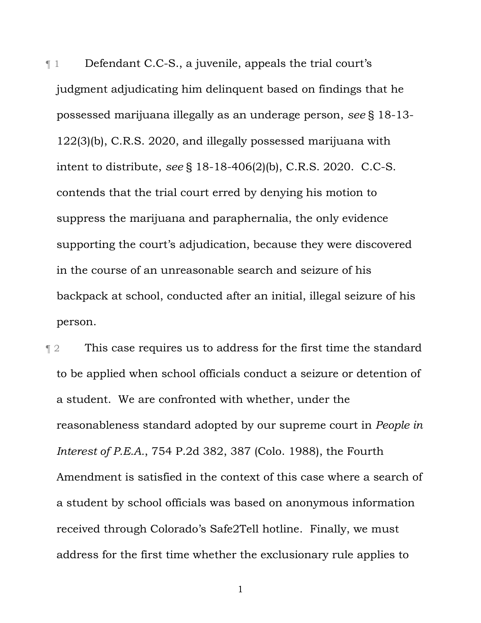¶ 1 Defendant C.C-S., a juvenile, appeals the trial court's judgment adjudicating him delinquent based on findings that he possessed marijuana illegally as an underage person, *see* § 18-13- 122(3)(b), C.R.S. 2020, and illegally possessed marijuana with intent to distribute, *see* § 18-18-406(2)(b), C.R.S. 2020. C.C-S. contends that the trial court erred by denying his motion to suppress the marijuana and paraphernalia, the only evidence supporting the court's adjudication, because they were discovered in the course of an unreasonable search and seizure of his backpack at school, conducted after an initial, illegal seizure of his person.

**This case requires us to address for the first time the standard** to be applied when school officials conduct a seizure or detention of a student. We are confronted with whether, under the reasonableness standard adopted by our supreme court in *People in Interest of P.E.A.*, 754 P.2d 382, 387 (Colo. 1988), the Fourth Amendment is satisfied in the context of this case where a search of a student by school officials was based on anonymous information received through Colorado's Safe2Tell hotline. Finally, we must address for the first time whether the exclusionary rule applies to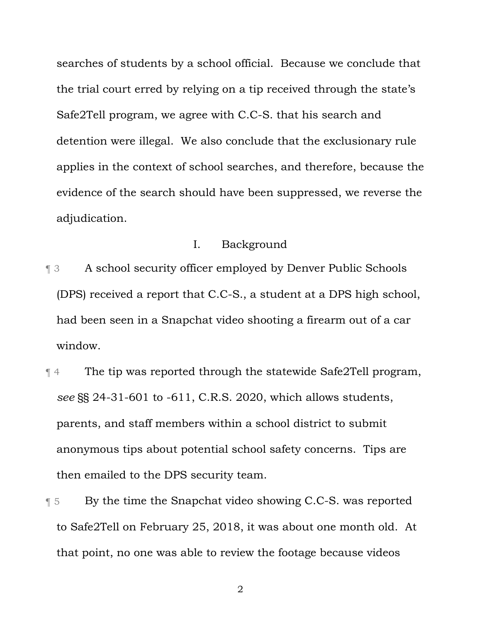searches of students by a school official. Because we conclude that the trial court erred by relying on a tip received through the state's Safe2Tell program, we agree with C.C-S. that his search and detention were illegal. We also conclude that the exclusionary rule applies in the context of school searches, and therefore, because the evidence of the search should have been suppressed, we reverse the adjudication.

### I. Background

- ¶ 3 A school security officer employed by Denver Public Schools (DPS) received a report that C.C-S., a student at a DPS high school, had been seen in a Snapchat video shooting a firearm out of a car window.
- ¶ 4 The tip was reported through the statewide Safe2Tell program, *see* §§ 24-31-601 to -611, C.R.S. 2020, which allows students, parents, and staff members within a school district to submit anonymous tips about potential school safety concerns. Tips are then emailed to the DPS security team.
- ¶ 5 By the time the Snapchat video showing C.C-S. was reported to Safe2Tell on February 25, 2018, it was about one month old. At that point, no one was able to review the footage because videos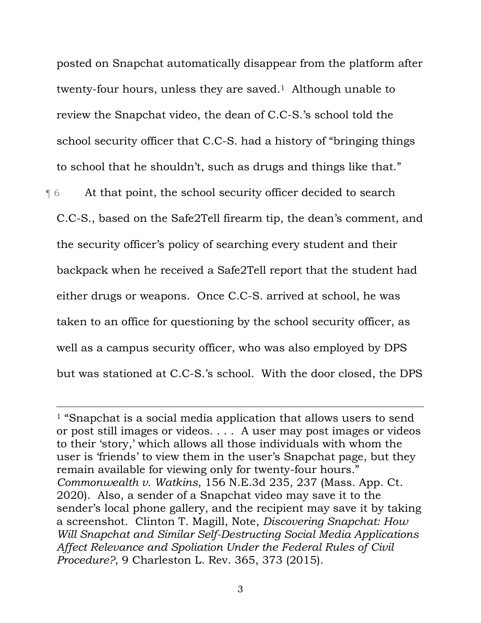posted on Snapchat automatically disappear from the platform after twenty-four hours, unless they are saved.1 Although unable to review the Snapchat video, the dean of C.C-S.'s school told the school security officer that C.C-S. had a history of "bringing things to school that he shouldn't, such as drugs and things like that."

¶ 6 At that point, the school security officer decided to search C.C-S., based on the Safe2Tell firearm tip, the dean's comment, and the security officer's policy of searching every student and their backpack when he received a Safe2Tell report that the student had either drugs or weapons. Once C.C-S. arrived at school, he was taken to an office for questioning by the school security officer, as well as a campus security officer, who was also employed by DPS but was stationed at C.C-S.'s school. With the door closed, the DPS

 $\overline{a}$ 

<sup>&</sup>lt;sup>1</sup> "Snapchat is a social media application that allows users to send or post still images or videos. . . . A user may post images or videos to their 'story,' which allows all those individuals with whom the user is 'friends' to view them in the user's Snapchat page, but they remain available for viewing only for twenty-four hours." *Commonwealth v. Watkins*, 156 N.E.3d 235, 237 (Mass. App. Ct. 2020). Also, a sender of a Snapchat video may save it to the sender's local phone gallery, and the recipient may save it by taking a screenshot. Clinton T. Magill, Note, *Discovering Snapchat: How Will Snapchat and Similar Self-Destructing Social Media Applications Affect Relevance and Spoliation Under the Federal Rules of Civil Procedure?*, 9 Charleston L. Rev. 365, 373 (2015).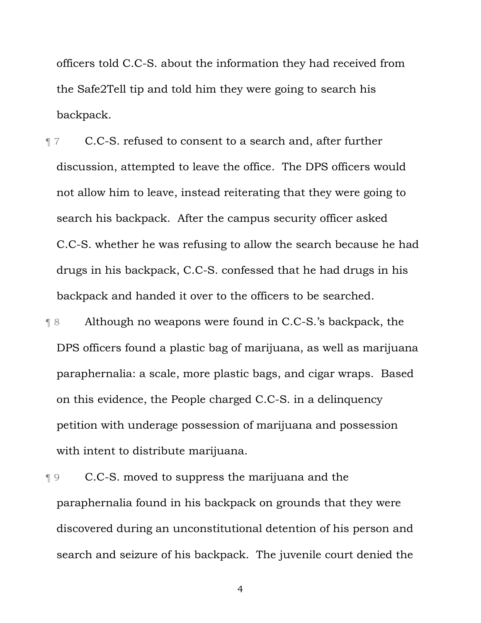officers told C.C-S. about the information they had received from the Safe2Tell tip and told him they were going to search his backpack.

- **Tabbb** 7 C.C-S. refused to consent to a search and, after further discussion, attempted to leave the office. The DPS officers would not allow him to leave, instead reiterating that they were going to search his backpack. After the campus security officer asked C.C-S. whether he was refusing to allow the search because he had drugs in his backpack, C.C-S. confessed that he had drugs in his backpack and handed it over to the officers to be searched.
- ¶ 8 Although no weapons were found in C.C-S.'s backpack, the DPS officers found a plastic bag of marijuana, as well as marijuana paraphernalia: a scale, more plastic bags, and cigar wraps. Based on this evidence, the People charged C.C-S. in a delinquency petition with underage possession of marijuana and possession with intent to distribute marijuana.
- ¶ 9 C.C-S. moved to suppress the marijuana and the paraphernalia found in his backpack on grounds that they were discovered during an unconstitutional detention of his person and search and seizure of his backpack. The juvenile court denied the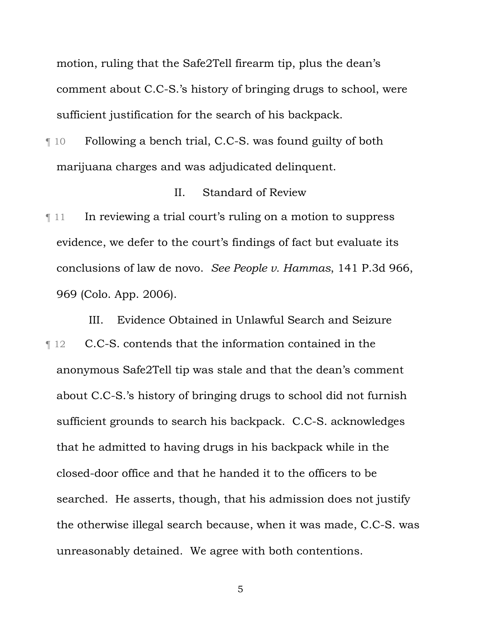motion, ruling that the Safe2Tell firearm tip, plus the dean's comment about C.C-S.'s history of bringing drugs to school, were sufficient justification for the search of his backpack.

¶ 10 Following a bench trial, C.C-S. was found guilty of both marijuana charges and was adjudicated delinquent.

#### II. Standard of Review

 $\llbracket$  11 In reviewing a trial court's ruling on a motion to suppress evidence, we defer to the court's findings of fact but evaluate its conclusions of law de novo. *See People v. Hammas*, 141 P.3d 966, 969 (Colo. App. 2006).

III. Evidence Obtained in Unlawful Search and Seizure ¶ 12 C.C-S. contends that the information contained in the anonymous Safe2Tell tip was stale and that the dean's comment about C.C-S.'s history of bringing drugs to school did not furnish sufficient grounds to search his backpack. C.C-S. acknowledges that he admitted to having drugs in his backpack while in the closed-door office and that he handed it to the officers to be searched. He asserts, though, that his admission does not justify the otherwise illegal search because, when it was made, C.C-S. was unreasonably detained. We agree with both contentions.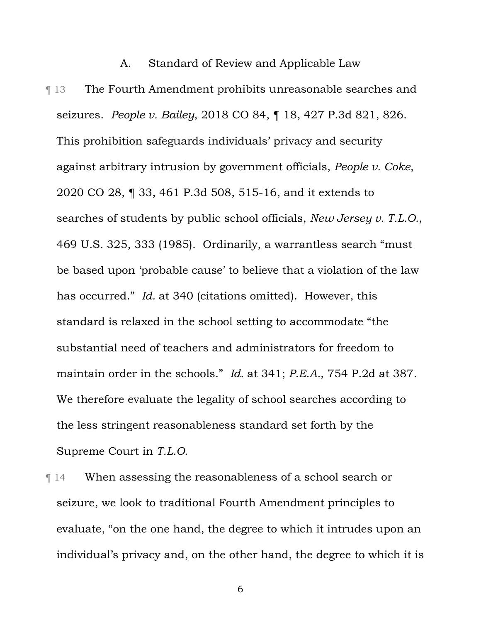# A. Standard of Review and Applicable Law

**The Fourth Amendment prohibits unreasonable searches and** seizures. *People v. Bailey*, 2018 CO 84, ¶ 18, 427 P.3d 821, 826. This prohibition safeguards individuals' privacy and security against arbitrary intrusion by government officials, *People v. Coke*, 2020 CO 28, ¶ 33, 461 P.3d 508, 515-16, and it extends to searches of students by public school officials, *New Jersey v. T.L.O.*, 469 U.S. 325, 333 (1985). Ordinarily, a warrantless search "must be based upon 'probable cause' to believe that a violation of the law has occurred." *Id.* at 340 (citations omitted). However, this standard is relaxed in the school setting to accommodate "the substantial need of teachers and administrators for freedom to maintain order in the schools." *Id.* at 341; *P.E.A.*, 754 P.2d at 387. We therefore evaluate the legality of school searches according to the less stringent reasonableness standard set forth by the Supreme Court in *T.L.O.*

¶ 14 When assessing the reasonableness of a school search or seizure, we look to traditional Fourth Amendment principles to evaluate, "on the one hand, the degree to which it intrudes upon an individual's privacy and, on the other hand, the degree to which it is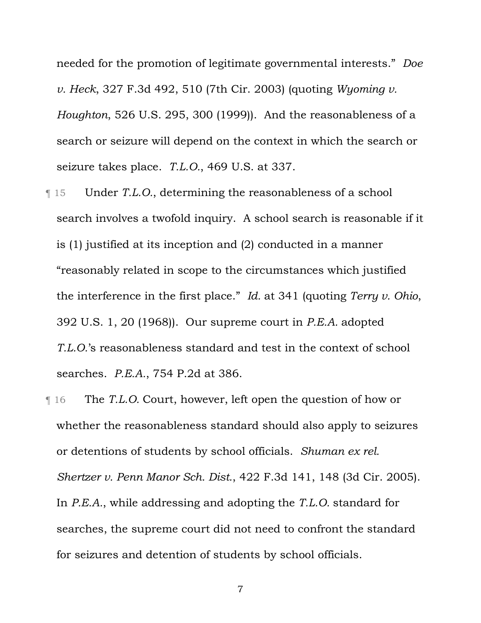needed for the promotion of legitimate governmental interests." *Doe v. Heck*, 327 F.3d 492, 510 (7th Cir. 2003) (quoting *Wyoming v. Houghton*, 526 U.S. 295, 300 (1999)). And the reasonableness of a search or seizure will depend on the context in which the search or seizure takes place. *T.L.O.*, 469 U.S. at 337.

- ¶ 15 Under *T.L.O.*, determining the reasonableness of a school search involves a twofold inquiry. A school search is reasonable if it is (1) justified at its inception and (2) conducted in a manner "reasonably related in scope to the circumstances which justified the interference in the first place." *Id.* at 341 (quoting *Terry v. Ohio*, 392 U.S. 1, 20 (1968)). Our supreme court in *P.E.A.* adopted *T.L.O.*'s reasonableness standard and test in the context of school searches. *P.E.A.*, 754 P.2d at 386.
- ¶ 16 The *T.L.O.* Court, however, left open the question of how or whether the reasonableness standard should also apply to seizures or detentions of students by school officials. *Shuman ex rel. Shertzer v. Penn Manor Sch. Dist.*, 422 F.3d 141, 148 (3d Cir. 2005). In *P.E.A.*, while addressing and adopting the *T.L.O.* standard for searches, the supreme court did not need to confront the standard for seizures and detention of students by school officials.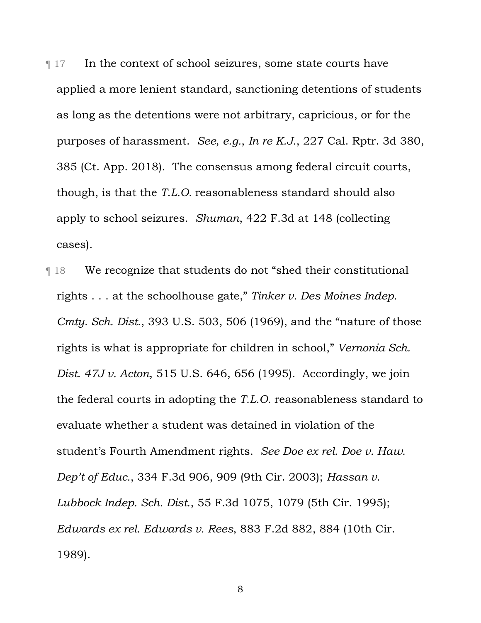¶ 17 In the context of school seizures, some state courts have applied a more lenient standard, sanctioning detentions of students as long as the detentions were not arbitrary, capricious, or for the purposes of harassment. *See, e.g.*, *In re K.J.*, 227 Cal. Rptr. 3d 380, 385 (Ct. App. 2018). The consensus among federal circuit courts, though, is that the *T.L.O.* reasonableness standard should also apply to school seizures. *Shuman*, 422 F.3d at 148 (collecting cases).

¶ 18 We recognize that students do not "shed their constitutional rights . . . at the schoolhouse gate," *Tinker v. Des Moines Indep. Cmty. Sch. Dist.*, 393 U.S. 503, 506 (1969), and the "nature of those rights is what is appropriate for children in school," *Vernonia Sch. Dist. 47J v. Acton*, 515 U.S. 646, 656 (1995). Accordingly, we join the federal courts in adopting the *T.L.O.* reasonableness standard to evaluate whether a student was detained in violation of the student's Fourth Amendment rights. *See Doe ex rel. Doe v. Haw. Dep't of Educ.*, 334 F.3d 906, 909 (9th Cir. 2003); *Hassan v. Lubbock Indep. Sch. Dist.*, 55 F.3d 1075, 1079 (5th Cir. 1995); *Edwards ex rel. Edwards v. Rees*, 883 F.2d 882, 884 (10th Cir. 1989).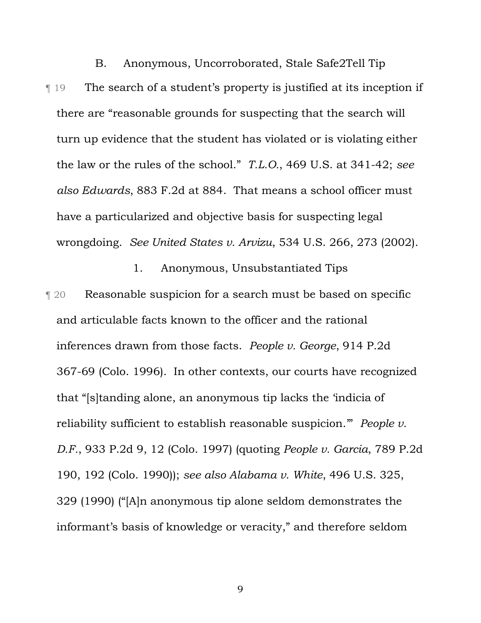B. Anonymous, Uncorroborated, Stale Safe2Tell Tip ¶ 19 The search of a student's property is justified at its inception if there are "reasonable grounds for suspecting that the search will turn up evidence that the student has violated or is violating either the law or the rules of the school." *T.L.O.*, 469 U.S. at 341-42; *see also Edwards*, 883 F.2d at 884. That means a school officer must have a particularized and objective basis for suspecting legal wrongdoing. *See United States v. Arvizu*, 534 U.S. 266, 273 (2002).

1. Anonymous, Unsubstantiated Tips ¶ 20 Reasonable suspicion for a search must be based on specific and articulable facts known to the officer and the rational inferences drawn from those facts. *People v. George*, 914 P.2d 367-69 (Colo. 1996). In other contexts, our courts have recognized that "[s]tanding alone, an anonymous tip lacks the 'indicia of reliability sufficient to establish reasonable suspicion.'" *People v. D.F.*, 933 P.2d 9, 12 (Colo. 1997) (quoting *People v. Garcia*, 789 P.2d 190, 192 (Colo. 1990)); *see also Alabama v. White*, 496 U.S. 325, 329 (1990) ("[A]n anonymous tip alone seldom demonstrates the informant's basis of knowledge or veracity," and therefore seldom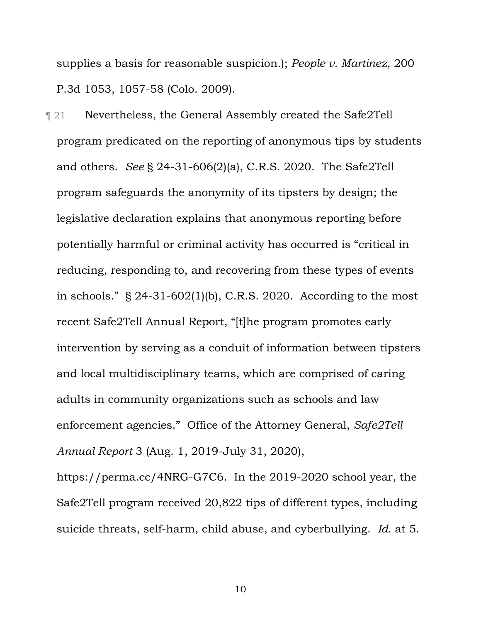supplies a basis for reasonable suspicion.); *People v. Martinez*, 200 P.3d 1053, 1057-58 (Colo. 2009).

¶ 21 Nevertheless, the General Assembly created the Safe2Tell program predicated on the reporting of anonymous tips by students and others. *See* § 24-31-606(2)(a), C.R.S. 2020. The Safe2Tell program safeguards the anonymity of its tipsters by design; the legislative declaration explains that anonymous reporting before potentially harmful or criminal activity has occurred is "critical in reducing, responding to, and recovering from these types of events in schools."  $\S$  24-31-602(1)(b), C.R.S. 2020. According to the most recent Safe2Tell Annual Report, "[t]he program promotes early intervention by serving as a conduit of information between tipsters and local multidisciplinary teams, which are comprised of caring adults in community organizations such as schools and law enforcement agencies." Office of the Attorney General, *Safe2Tell Annual Report* 3 (Aug. 1, 2019-July 31, 2020),

https://perma.cc/4NRG-G7C6. In the 2019-2020 school year, the Safe2Tell program received 20,822 tips of different types, including suicide threats, self-harm, child abuse, and cyberbullying. *Id.* at 5.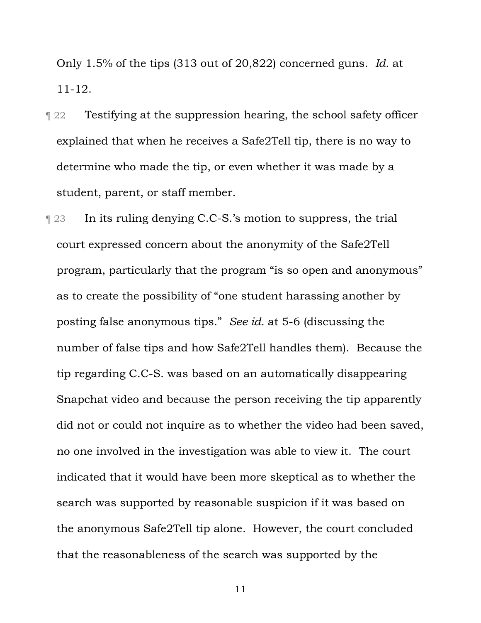Only 1.5% of the tips (313 out of 20,822) concerned guns. *Id.* at 11-12.

- ¶ 22 Testifying at the suppression hearing, the school safety officer explained that when he receives a Safe2Tell tip, there is no way to determine who made the tip, or even whether it was made by a student, parent, or staff member.
- ¶ 23 In its ruling denying C.C-S.'s motion to suppress, the trial court expressed concern about the anonymity of the Safe2Tell program, particularly that the program "is so open and anonymous" as to create the possibility of "one student harassing another by posting false anonymous tips." *See id.* at 5-6 (discussing the number of false tips and how Safe2Tell handles them). Because the tip regarding C.C-S. was based on an automatically disappearing Snapchat video and because the person receiving the tip apparently did not or could not inquire as to whether the video had been saved, no one involved in the investigation was able to view it. The court indicated that it would have been more skeptical as to whether the search was supported by reasonable suspicion if it was based on the anonymous Safe2Tell tip alone. However, the court concluded that the reasonableness of the search was supported by the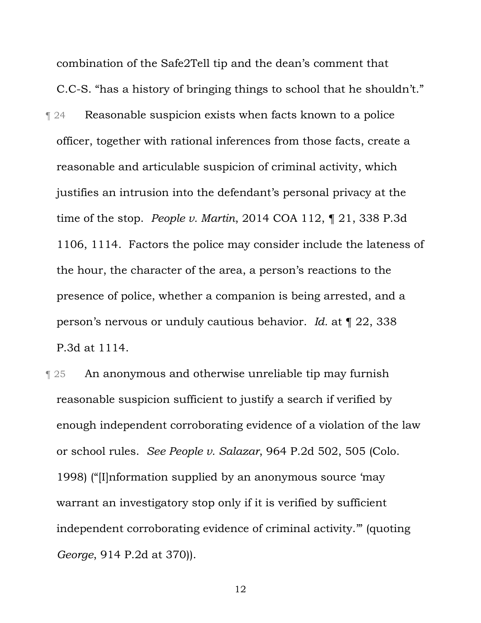combination of the Safe2Tell tip and the dean's comment that C.C-S. "has a history of bringing things to school that he shouldn't." **T** 24 Reasonable suspicion exists when facts known to a police officer, together with rational inferences from those facts, create a reasonable and articulable suspicion of criminal activity, which justifies an intrusion into the defendant's personal privacy at the time of the stop. *People v. Martin*, 2014 COA 112, ¶ 21, 338 P.3d 1106, 1114. Factors the police may consider include the lateness of the hour, the character of the area, a person's reactions to the presence of police, whether a companion is being arrested, and a person's nervous or unduly cautious behavior. *Id.* at ¶ 22, 338 P.3d at 1114.

**T** 25 An anonymous and otherwise unreliable tip may furnish reasonable suspicion sufficient to justify a search if verified by enough independent corroborating evidence of a violation of the law or school rules. *See People v. Salazar*, 964 P.2d 502, 505 (Colo. 1998) ("[I]nformation supplied by an anonymous source 'may warrant an investigatory stop only if it is verified by sufficient independent corroborating evidence of criminal activity.'" (quoting *George*, 914 P.2d at 370)).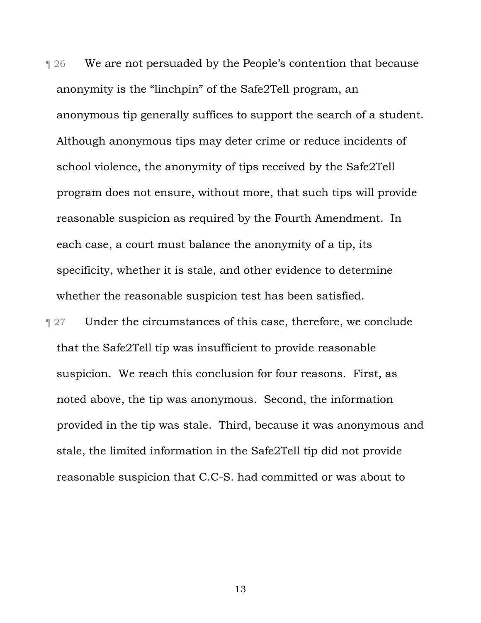**The 30 KeV** we are not persuaded by the People's contention that because anonymity is the "linchpin" of the Safe2Tell program, an anonymous tip generally suffices to support the search of a student. Although anonymous tips may deter crime or reduce incidents of school violence, the anonymity of tips received by the Safe2Tell program does not ensure, without more, that such tips will provide reasonable suspicion as required by the Fourth Amendment. In each case, a court must balance the anonymity of a tip, its specificity, whether it is stale, and other evidence to determine whether the reasonable suspicion test has been satisfied.

**Term 27** Under the circumstances of this case, therefore, we conclude that the Safe2Tell tip was insufficient to provide reasonable suspicion. We reach this conclusion for four reasons. First, as noted above, the tip was anonymous. Second, the information provided in the tip was stale. Third, because it was anonymous and stale, the limited information in the Safe2Tell tip did not provide reasonable suspicion that C.C-S. had committed or was about to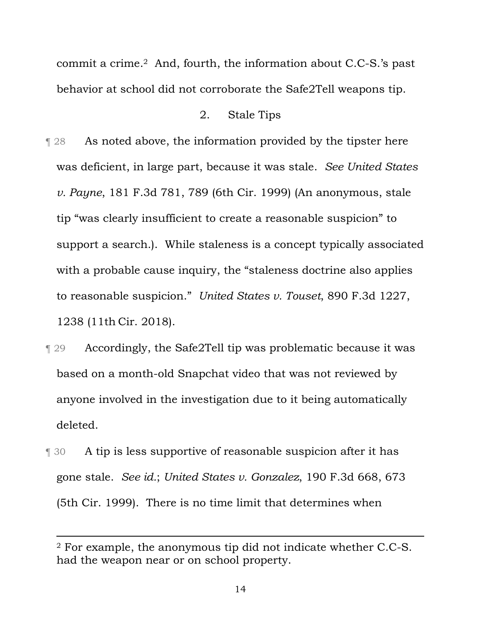commit a crime.2 And, fourth, the information about C.C-S.'s past behavior at school did not corroborate the Safe2Tell weapons tip.

#### 2. Stale Tips

- ¶ 28 As noted above, the information provided by the tipster here was deficient, in large part, because it was stale. *See United States v. Payne*, 181 F.3d 781, 789 (6th Cir. 1999) (An anonymous, stale tip "was clearly insufficient to create a reasonable suspicion" to support a search.). While staleness is a concept typically associated with a probable cause inquiry, the "staleness doctrine also applies to reasonable suspicion." *United States v. Touset*, 890 F.3d 1227, 1238 (11th Cir. 2018).
- ¶ 29 Accordingly, the Safe2Tell tip was problematic because it was based on a month-old Snapchat video that was not reviewed by anyone involved in the investigation due to it being automatically deleted.
- ¶ 30 A tip is less supportive of reasonable suspicion after it has gone stale. *See id.*; *United States v. Gonzalez*, 190 F.3d 668, 673 (5th Cir. 1999). There is no time limit that determines when

 $\overline{a}$ 

<sup>2</sup> For example, the anonymous tip did not indicate whether C.C-S. had the weapon near or on school property.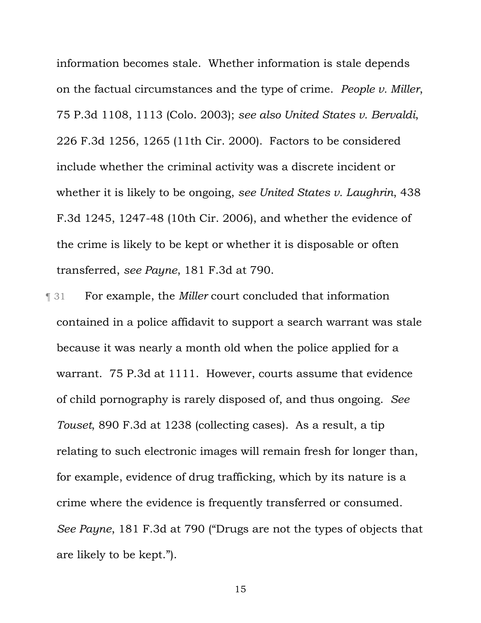information becomes stale. Whether information is stale depends on the factual circumstances and the type of crime. *People v. Miller*, 75 P.3d 1108, 1113 (Colo. 2003); *see also United States v. Bervaldi*, 226 F.3d 1256, 1265 (11th Cir. 2000).Factors to be considered include whether the criminal activity was a discrete incident or whether it is likely to be ongoing, *see United States v. Laughrin*, 438 F.3d 1245, 1247-48 (10th Cir. 2006), and whether the evidence of the crime is likely to be kept or whether it is disposable or often transferred, *see Payne*, 181 F.3d at 790.

¶ 31 For example, the *Miller* court concluded that information contained in a police affidavit to support a search warrant was stale because it was nearly a month old when the police applied for a warrant. 75 P.3d at 1111. However, courts assume that evidence of child pornography is rarely disposed of, and thus ongoing. *See Touset*, 890 F.3d at 1238 (collecting cases). As a result, a tip relating to such electronic images will remain fresh for longer than, for example, evidence of drug trafficking, which by its nature is a crime where the evidence is frequently transferred or consumed. *See Payne*, 181 F.3d at 790 ("Drugs are not the types of objects that are likely to be kept.").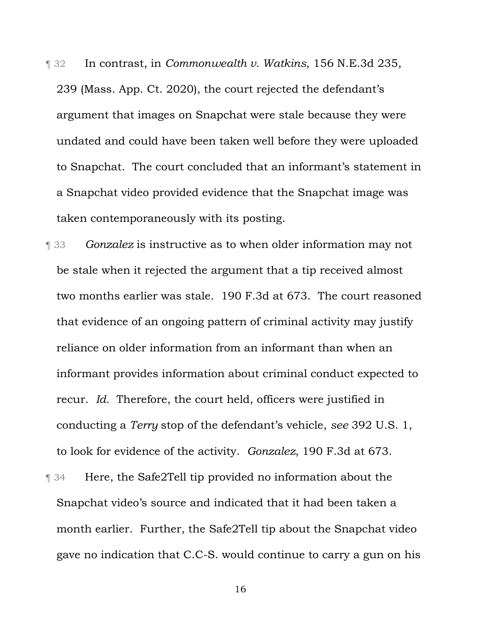¶ 32 In contrast, in *Commonwealth v. Watkins*, 156 N.E.3d 235, 239 (Mass. App. Ct. 2020), the court rejected the defendant's argument that images on Snapchat were stale because they were undated and could have been taken well before they were uploaded to Snapchat. The court concluded that an informant's statement in a Snapchat video provided evidence that the Snapchat image was taken contemporaneously with its posting.

¶ 33 *Gonzalez* is instructive as to when older information may not be stale when it rejected the argument that a tip received almost two months earlier was stale. 190 F.3d at 673. The court reasoned that evidence of an ongoing pattern of criminal activity may justify reliance on older information from an informant than when an informant provides information about criminal conduct expected to recur. *Id.* Therefore, the court held, officers were justified in conducting a *Terry* stop of the defendant's vehicle, *see* 392 U.S. 1, to look for evidence of the activity. *Gonzalez*, 190 F.3d at 673.

¶ 34 Here, the Safe2Tell tip provided no information about the Snapchat video's source and indicated that it had been taken a month earlier. Further, the Safe2Tell tip about the Snapchat video gave no indication that C.C-S. would continue to carry a gun on his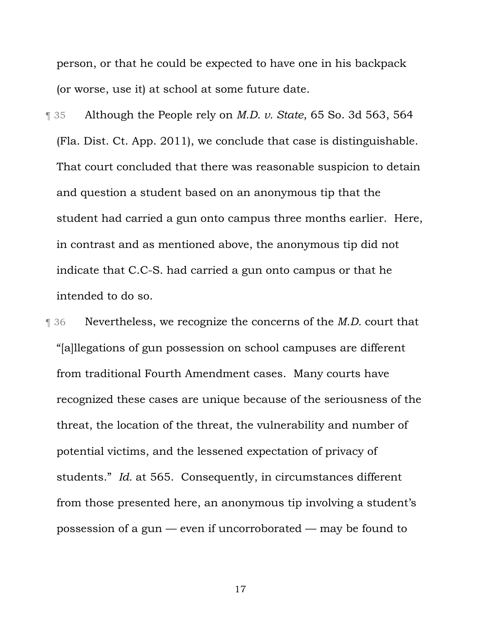person, or that he could be expected to have one in his backpack (or worse, use it) at school at some future date.

¶ 35 Although the People rely on *M.D. v. State*, 65 So. 3d 563, 564 (Fla. Dist. Ct. App. 2011), we conclude that case is distinguishable. That court concluded that there was reasonable suspicion to detain and question a student based on an anonymous tip that the student had carried a gun onto campus three months earlier. Here, in contrast and as mentioned above, the anonymous tip did not indicate that C.C-S. had carried a gun onto campus or that he intended to do so.

¶ 36 Nevertheless, we recognize the concerns of the *M.D.* court that "[a]llegations of gun possession on school campuses are different from traditional Fourth Amendment cases. Many courts have recognized these cases are unique because of the seriousness of the threat, the location of the threat, the vulnerability and number of potential victims, and the lessened expectation of privacy of students." *Id.* at 565. Consequently, in circumstances different from those presented here, an anonymous tip involving a student's possession of a gun — even if uncorroborated — may be found to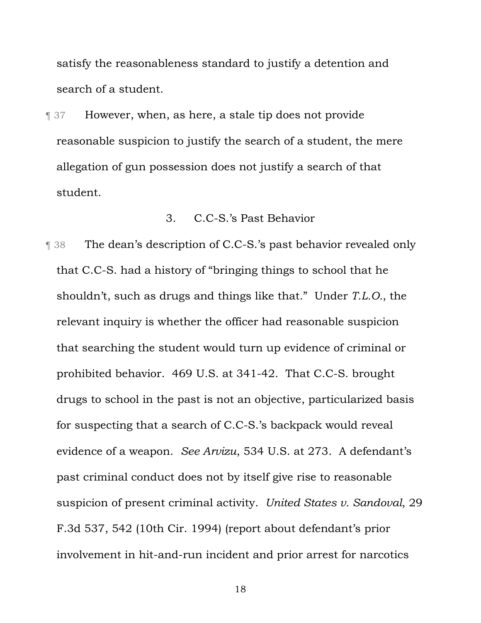satisfy the reasonableness standard to justify a detention and search of a student.

¶ 37 However, when, as here, a stale tip does not provide reasonable suspicion to justify the search of a student, the mere allegation of gun possession does not justify a search of that student.

### 3. C.C-S.'s Past Behavior

¶ 38 The dean's description of C.C-S.'s past behavior revealed only that C.C-S. had a history of "bringing things to school that he shouldn't, such as drugs and things like that." Under *T.L.O.*, the relevant inquiry is whether the officer had reasonable suspicion that searching the student would turn up evidence of criminal or prohibited behavior. 469 U.S. at 341-42. That C.C-S. brought drugs to school in the past is not an objective, particularized basis for suspecting that a search of C.C-S.'s backpack would reveal evidence of a weapon. *See Arvizu*, 534 U.S. at 273. A defendant's past criminal conduct does not by itself give rise to reasonable suspicion of present criminal activity. *United States v. Sandoval*, 29 F.3d 537, 542 (10th Cir. 1994) (report about defendant's prior involvement in hit-and-run incident and prior arrest for narcotics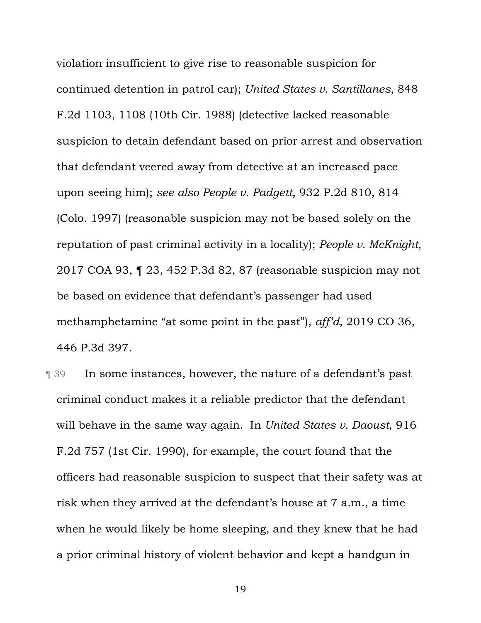violation insufficient to give rise to reasonable suspicion for continued detention in patrol car); *United States v. Santillanes*, 848 F.2d 1103, 1108 (10th Cir. 1988) (detective lacked reasonable suspicion to detain defendant based on prior arrest and observation that defendant veered away from detective at an increased pace upon seeing him); *see also People v. Padgett*, 932 P.2d 810, 814 (Colo. 1997) (reasonable suspicion may not be based solely on the reputation of past criminal activity in a locality); *People v. McKnight*, 2017 COA 93, ¶ 23, 452 P.3d 82, 87 (reasonable suspicion may not be based on evidence that defendant's passenger had used methamphetamine "at some point in the past"), *aff'd*, 2019 CO 36, 446 P.3d 397.

¶ 39 In some instances, however, the nature of a defendant's past criminal conduct makes it a reliable predictor that the defendant will behave in the same way again. In *United States v. Daoust*, 916 F.2d 757 (1st Cir. 1990), for example, the court found that the officers had reasonable suspicion to suspect that their safety was at risk when they arrived at the defendant's house at 7 a.m., a time when he would likely be home sleeping, and they knew that he had a prior criminal history of violent behavior and kept a handgun in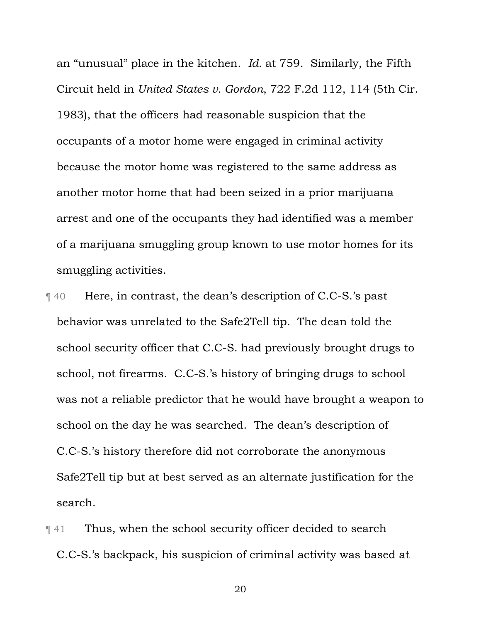an "unusual" place in the kitchen. *Id.* at 759. Similarly, the Fifth Circuit held in *United States v. Gordon*, 722 F.2d 112, 114 (5th Cir. 1983), that the officers had reasonable suspicion that the occupants of a motor home were engaged in criminal activity because the motor home was registered to the same address as another motor home that had been seized in a prior marijuana arrest and one of the occupants they had identified was a member of a marijuana smuggling group known to use motor homes for its smuggling activities.

¶ 40 Here, in contrast, the dean's description of C.C-S.'s past behavior was unrelated to the Safe2Tell tip. The dean told the school security officer that C.C-S. had previously brought drugs to school, not firearms. C.C-S.'s history of bringing drugs to school was not a reliable predictor that he would have brought a weapon to school on the day he was searched. The dean's description of C.C-S.'s history therefore did not corroborate the anonymous Safe2Tell tip but at best served as an alternate justification for the search.

¶ 41 Thus, when the school security officer decided to search C.C-S.'s backpack, his suspicion of criminal activity was based at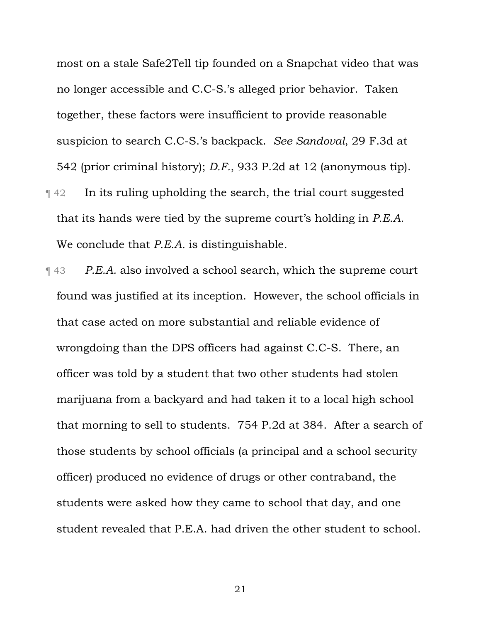most on a stale Safe2Tell tip founded on a Snapchat video that was no longer accessible and C.C-S.'s alleged prior behavior. Taken together, these factors were insufficient to provide reasonable suspicion to search C.C-S.'s backpack. *See Sandoval*, 29 F.3d at 542 (prior criminal history); *D.F.*, 933 P.2d at 12 (anonymous tip). ¶ 42 In its ruling upholding the search, the trial court suggested that its hands were tied by the supreme court's holding in *P.E.A.* We conclude that *P.E.A.* is distinguishable.

¶ 43 *P.E.A.* also involved a school search, which the supreme court found was justified at its inception. However, the school officials in that case acted on more substantial and reliable evidence of wrongdoing than the DPS officers had against C.C-S. There, an officer was told by a student that two other students had stolen marijuana from a backyard and had taken it to a local high school that morning to sell to students. 754 P.2d at 384. After a search of those students by school officials (a principal and a school security officer) produced no evidence of drugs or other contraband, the students were asked how they came to school that day, and one student revealed that P.E.A. had driven the other student to school.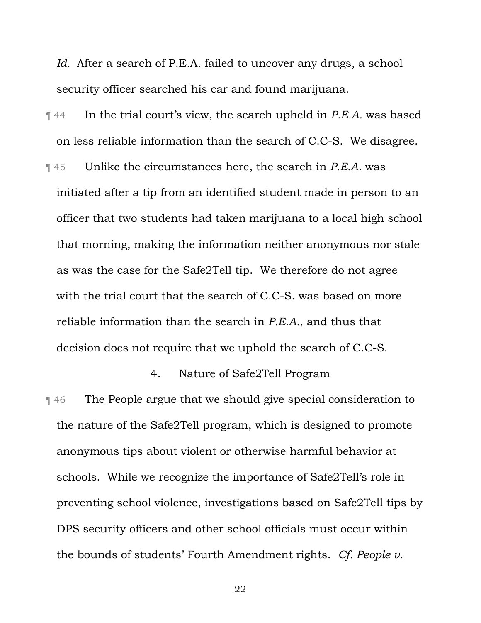*Id.* After a search of P.E.A. failed to uncover any drugs, a school security officer searched his car and found marijuana.

- ¶ 44 In the trial court's view, the search upheld in *P.E.A.* was based on less reliable information than the search of C.C-S. We disagree.
- ¶ 45 Unlike the circumstances here, the search in *P.E.A.* was initiated after a tip from an identified student made in person to an officer that two students had taken marijuana to a local high school that morning, making the information neither anonymous nor stale as was the case for the Safe2Tell tip. We therefore do not agree with the trial court that the search of C.C-S. was based on more reliable information than the search in *P.E.A.*, and thus that decision does not require that we uphold the search of C.C-S.

# 4. Nature of Safe2Tell Program

¶ 46 The People argue that we should give special consideration to the nature of the Safe2Tell program, which is designed to promote anonymous tips about violent or otherwise harmful behavior at schools. While we recognize the importance of Safe2Tell's role in preventing school violence, investigations based on Safe2Tell tips by DPS security officers and other school officials must occur within the bounds of students' Fourth Amendment rights. *Cf. People v.*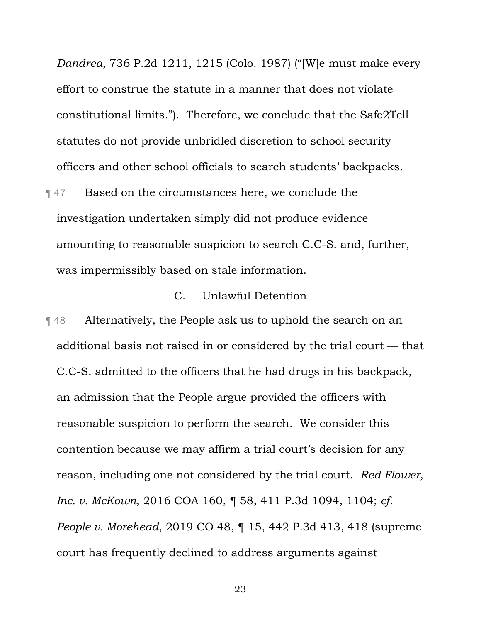*Dandrea*, 736 P.2d 1211, 1215 (Colo. 1987) ("[W]e must make every effort to construe the statute in a manner that does not violate constitutional limits."). Therefore, we conclude that the Safe2Tell statutes do not provide unbridled discretion to school security officers and other school officials to search students' backpacks.

**Term 47** Based on the circumstances here, we conclude the investigation undertaken simply did not produce evidence amounting to reasonable suspicion to search C.C-S. and, further, was impermissibly based on stale information.

### C. Unlawful Detention

¶ 48 Alternatively, the People ask us to uphold the search on an additional basis not raised in or considered by the trial court — that C.C-S. admitted to the officers that he had drugs in his backpack, an admission that the People argue provided the officers with reasonable suspicion to perform the search. We consider this contention because we may affirm a trial court's decision for any reason, including one not considered by the trial court. *Red Flower, Inc. v. McKown*, 2016 COA 160, ¶ 58, 411 P.3d 1094, 1104; *cf. People v. Morehead*, 2019 CO 48, ¶ 15, 442 P.3d 413, 418 (supreme court has frequently declined to address arguments against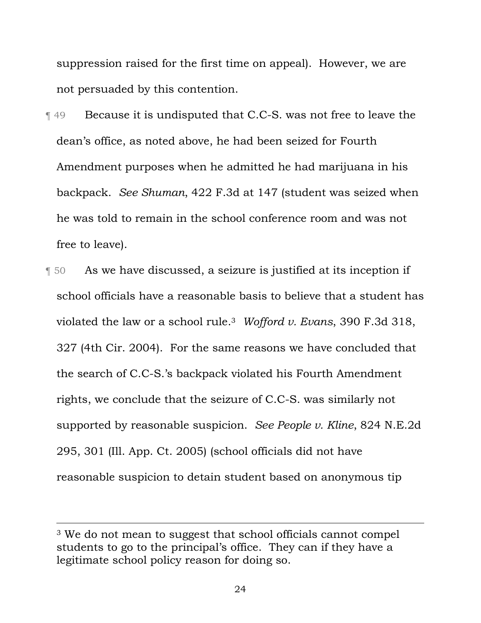suppression raised for the first time on appeal). However, we are not persuaded by this contention.

- ¶ 49 Because it is undisputed that C.C-S. was not free to leave the dean's office, as noted above, he had been seized for Fourth Amendment purposes when he admitted he had marijuana in his backpack. *See Shuman*, 422 F.3d at 147 (student was seized when he was told to remain in the school conference room and was not free to leave).
- ¶ 50 As we have discussed, a seizure is justified at its inception if school officials have a reasonable basis to believe that a student has violated the law or a school rule.3 *Wofford v. Evans*, 390 F.3d 318, 327 (4th Cir. 2004). For the same reasons we have concluded that the search of C.C-S.'s backpack violated his Fourth Amendment rights, we conclude that the seizure of C.C-S. was similarly not supported by reasonable suspicion. *See People v. Kline*, 824 N.E.2d 295, 301 (Ill. App. Ct. 2005) (school officials did not have reasonable suspicion to detain student based on anonymous tip

 $\overline{a}$ 

<sup>3</sup> We do not mean to suggest that school officials cannot compel students to go to the principal's office. They can if they have a legitimate school policy reason for doing so.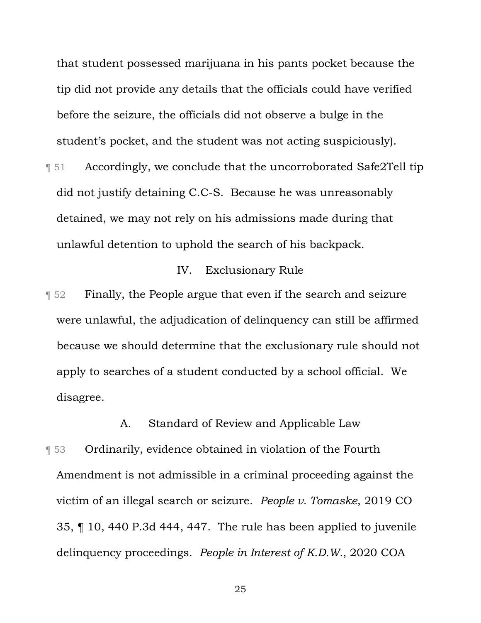that student possessed marijuana in his pants pocket because the tip did not provide any details that the officials could have verified before the seizure, the officials did not observe a bulge in the student's pocket, and the student was not acting suspiciously).

¶ 51 Accordingly, we conclude that the uncorroborated Safe2Tell tip did not justify detaining C.C-S. Because he was unreasonably detained, we may not rely on his admissions made during that unlawful detention to uphold the search of his backpack.

# IV. Exclusionary Rule

¶ 52 Finally, the People argue that even if the search and seizure were unlawful, the adjudication of delinquency can still be affirmed because we should determine that the exclusionary rule should not apply to searches of a student conducted by a school official. We disagree.

A. Standard of Review and Applicable Law

**T** 53 Ordinarily, evidence obtained in violation of the Fourth Amendment is not admissible in a criminal proceeding against the victim of an illegal search or seizure. *People v. Tomaske*, 2019 CO 35, ¶ 10, 440 P.3d 444, 447. The rule has been applied to juvenile delinquency proceedings. *People in Interest of K.D.W.*, 2020 COA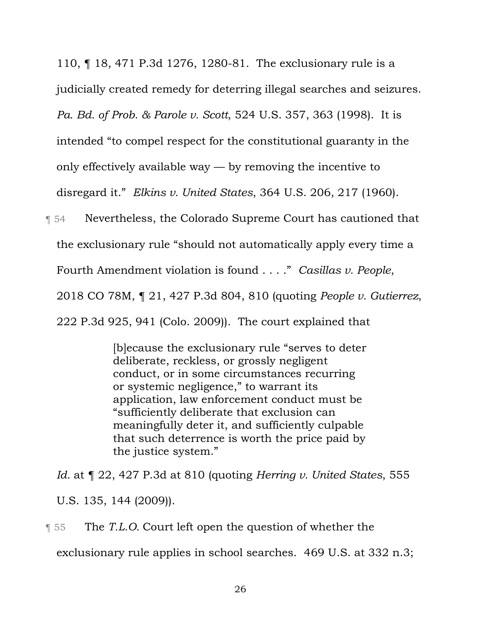110, ¶ 18, 471 P.3d 1276, 1280-81. The exclusionary rule is a

judicially created remedy for deterring illegal searches and seizures.

*Pa. Bd. of Prob. & Parole v. Scott*, 524 U.S. 357, 363 (1998). It is

intended "to compel respect for the constitutional guaranty in the

only effectively available way — by removing the incentive to

disregard it." *Elkins v. United States*, 364 U.S. 206, 217 (1960).

¶ 54 Nevertheless, the Colorado Supreme Court has cautioned that

the exclusionary rule "should not automatically apply every time a

Fourth Amendment violation is found . . . ." *Casillas v. People*,

2018 CO 78M, ¶ 21, 427 P.3d 804, 810 (quoting *People v. Gutierrez*,

222 P.3d 925, 941 (Colo. 2009)). The court explained that

[b]ecause the exclusionary rule "serves to deter deliberate, reckless, or grossly negligent conduct, or in some circumstances recurring or systemic negligence," to warrant its application, law enforcement conduct must be "sufficiently deliberate that exclusion can meaningfully deter it, and sufficiently culpable that such deterrence is worth the price paid by the justice system."

*Id.* at ¶ 22, 427 P.3d at 810 (quoting *Herring v. United States*, 555

U.S. 135, 144 (2009)).

**The** *T.L.O.* Court left open the question of whether the exclusionary rule applies in school searches. 469 U.S. at 332 n.3;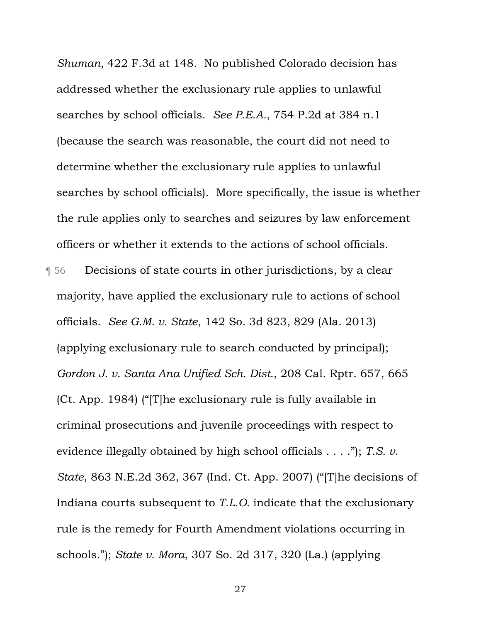*Shuman*, 422 F.3d at 148. No published Colorado decision has addressed whether the exclusionary rule applies to unlawful searches by school officials. *See P.E.A.*, 754 P.2d at 384 n.1 (because the search was reasonable, the court did not need to determine whether the exclusionary rule applies to unlawful searches by school officials). More specifically, the issue is whether the rule applies only to searches and seizures by law enforcement officers or whether it extends to the actions of school officials. ¶ 56 Decisions of state courts in other jurisdictions, by a clear majority, have applied the exclusionary rule to actions of school officials. *See G.M. v. State*, 142 So. 3d 823, 829 (Ala. 2013) (applying exclusionary rule to search conducted by principal); *Gordon J. v. Santa Ana Unified Sch. Dist.*, 208 Cal. Rptr. 657, 665 (Ct. App. 1984) ("[T]he exclusionary rule is fully available in criminal prosecutions and juvenile proceedings with respect to evidence illegally obtained by high school officials . . . ."); *T.S. v. State*, 863 N.E.2d 362, 367 (Ind. Ct. App. 2007) ("[T]he decisions of Indiana courts subsequent to *T.L.O.* indicate that the exclusionary rule is the remedy for Fourth Amendment violations occurring in schools."); *State v. Mora*, 307 So. 2d 317, 320 (La.) (applying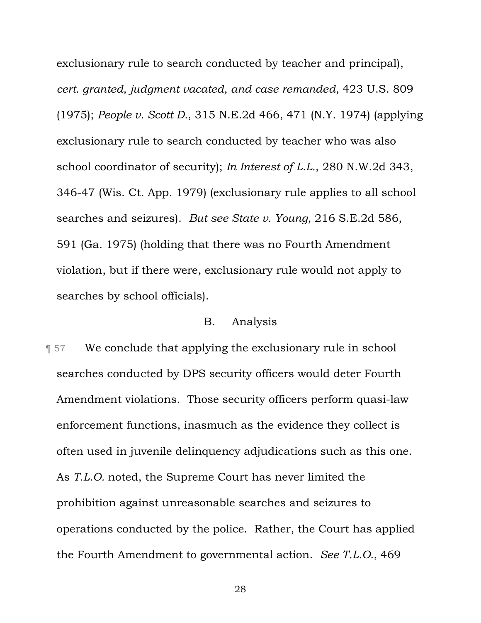exclusionary rule to search conducted by teacher and principal), *cert. granted, judgment vacated, and case remanded*, 423 U.S. 809 (1975); *People v. Scott D.*, 315 N.E.2d 466, 471 (N.Y. 1974) (applying exclusionary rule to search conducted by teacher who was also school coordinator of security); *In Interest of L.L.*, 280 N.W.2d 343, 346-47 (Wis. Ct. App. 1979) (exclusionary rule applies to all school searches and seizures). *But see State v. Young*, 216 S.E.2d 586, 591 (Ga. 1975) (holding that there was no Fourth Amendment violation, but if there were, exclusionary rule would not apply to searches by school officials).

## B. Analysis

**T** 57 We conclude that applying the exclusionary rule in school searches conducted by DPS security officers would deter Fourth Amendment violations. Those security officers perform quasi-law enforcement functions, inasmuch as the evidence they collect is often used in juvenile delinquency adjudications such as this one. As *T.L.O.* noted, the Supreme Court has never limited the prohibition against unreasonable searches and seizures to operations conducted by the police. Rather, the Court has applied the Fourth Amendment to governmental action. *See T.L.O.*, 469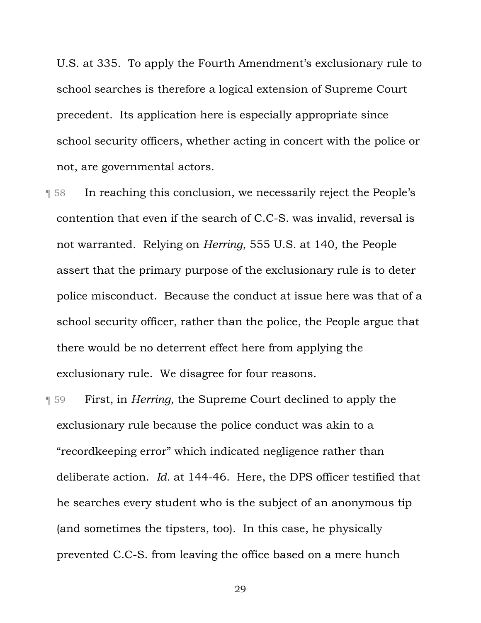U.S. at 335. To apply the Fourth Amendment's exclusionary rule to school searches is therefore a logical extension of Supreme Court precedent. Its application here is especially appropriate since school security officers, whether acting in concert with the police or not, are governmental actors.

- ¶ 58 In reaching this conclusion, we necessarily reject the People's contention that even if the search of C.C-S. was invalid, reversal is not warranted. Relying on *Herring*, 555 U.S. at 140, the People assert that the primary purpose of the exclusionary rule is to deter police misconduct. Because the conduct at issue here was that of a school security officer, rather than the police, the People argue that there would be no deterrent effect here from applying the exclusionary rule. We disagree for four reasons.
- ¶ 59 First, in *Herring*, the Supreme Court declined to apply the exclusionary rule because the police conduct was akin to a "recordkeeping error" which indicated negligence rather than deliberate action. *Id.* at 144-46. Here, the DPS officer testified that he searches every student who is the subject of an anonymous tip (and sometimes the tipsters, too). In this case, he physically prevented C.C-S. from leaving the office based on a mere hunch
	- 29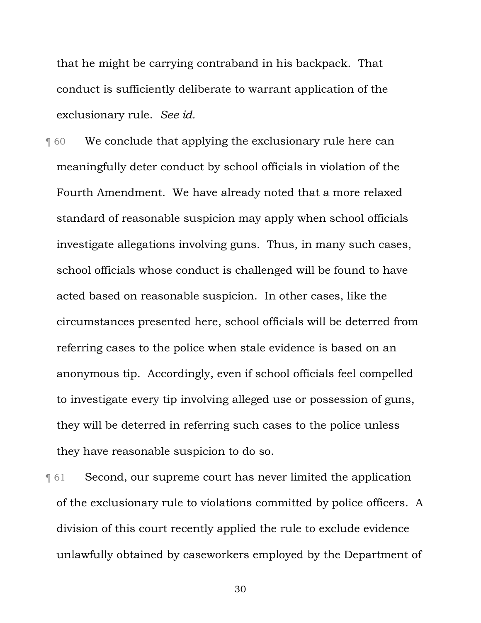that he might be carrying contraband in his backpack. That conduct is sufficiently deliberate to warrant application of the exclusionary rule. *See id.*

**The Setupe 1 We conclude that applying the exclusionary rule here can** meaningfully deter conduct by school officials in violation of the Fourth Amendment. We have already noted that a more relaxed standard of reasonable suspicion may apply when school officials investigate allegations involving guns. Thus, in many such cases, school officials whose conduct is challenged will be found to have acted based on reasonable suspicion. In other cases, like the circumstances presented here, school officials will be deterred from referring cases to the police when stale evidence is based on an anonymous tip. Accordingly, even if school officials feel compelled to investigate every tip involving alleged use or possession of guns, they will be deterred in referring such cases to the police unless they have reasonable suspicion to do so.

¶ 61 Second, our supreme court has never limited the application of the exclusionary rule to violations committed by police officers. A division of this court recently applied the rule to exclude evidence unlawfully obtained by caseworkers employed by the Department of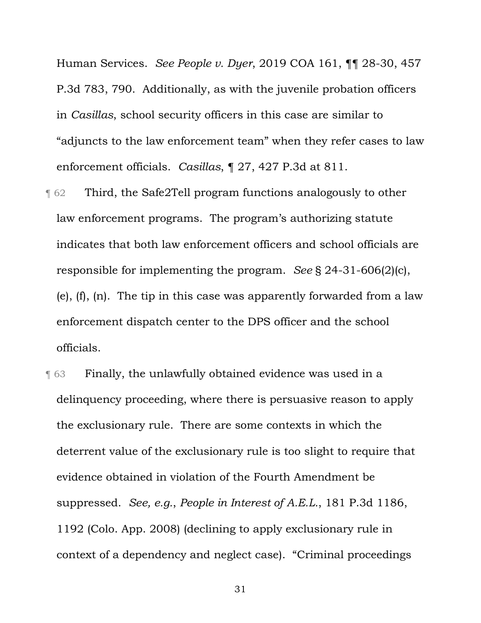Human Services. *See People v. Dyer*, 2019 COA 161, ¶¶ 28-30, 457 P.3d 783, 790. Additionally, as with the juvenile probation officers in *Casillas*, school security officers in this case are similar to "adjuncts to the law enforcement team" when they refer cases to law enforcement officials. *Casillas*, ¶ 27, 427 P.3d at 811.

- ¶ 62 Third, the Safe2Tell program functions analogously to other law enforcement programs. The program's authorizing statute indicates that both law enforcement officers and school officials are responsible for implementing the program. *See* § 24-31-606(2)(c), (e), (f), (n). The tip in this case was apparently forwarded from a law enforcement dispatch center to the DPS officer and the school officials.
- **The Stuart Finally, the unlawfully obtained evidence was used in a** delinquency proceeding, where there is persuasive reason to apply the exclusionary rule. There are some contexts in which the deterrent value of the exclusionary rule is too slight to require that evidence obtained in violation of the Fourth Amendment be suppressed. *See, e.g.*, *People in Interest of A.E.L.*, 181 P.3d 1186, 1192 (Colo. App. 2008) (declining to apply exclusionary rule in context of a dependency and neglect case). "Criminal proceedings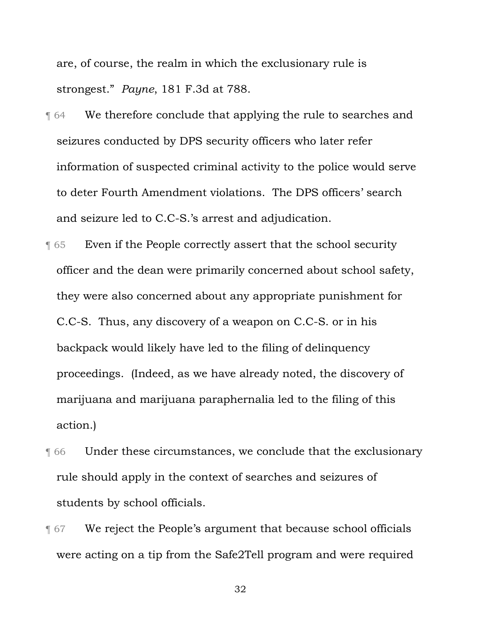are, of course, the realm in which the exclusionary rule is strongest." *Payne*, 181 F.3d at 788.

- **T** 64 We therefore conclude that applying the rule to searches and seizures conducted by DPS security officers who later refer information of suspected criminal activity to the police would serve to deter Fourth Amendment violations. The DPS officers' search and seizure led to C.C-S.'s arrest and adjudication.
- ¶ 65 Even if the People correctly assert that the school security officer and the dean were primarily concerned about school safety, they were also concerned about any appropriate punishment for C.C-S. Thus, any discovery of a weapon on C.C-S. or in his backpack would likely have led to the filing of delinquency proceedings. (Indeed, as we have already noted, the discovery of marijuana and marijuana paraphernalia led to the filing of this action.)
- ¶ 66 Under these circumstances, we conclude that the exclusionary rule should apply in the context of searches and seizures of students by school officials.
- **T** 67 We reject the People's argument that because school officials were acting on a tip from the Safe2Tell program and were required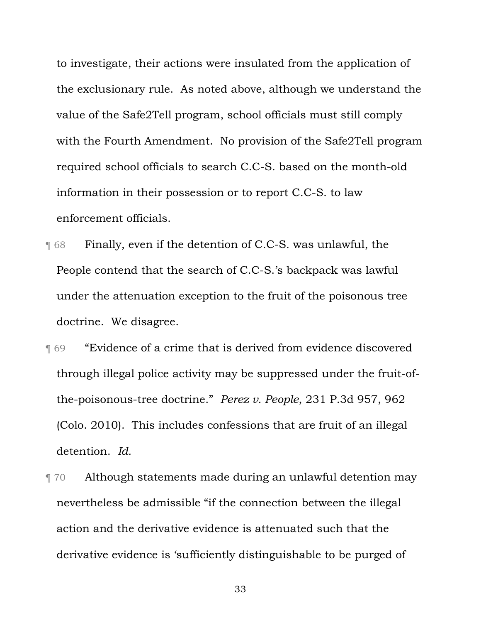to investigate, their actions were insulated from the application of the exclusionary rule. As noted above, although we understand the value of the Safe2Tell program, school officials must still comply with the Fourth Amendment. No provision of the Safe2Tell program required school officials to search C.C-S. based on the month-old information in their possession or to report C.C-S. to law enforcement officials.

- ¶ 68 Finally, even if the detention of C.C-S. was unlawful, the People contend that the search of C.C-S.'s backpack was lawful under the attenuation exception to the fruit of the poisonous tree doctrine. We disagree.
- ¶ 69 "Evidence of a crime that is derived from evidence discovered through illegal police activity may be suppressed under the fruit-ofthe-poisonous-tree doctrine." *Perez v. People*, 231 P.3d 957, 962 (Colo. 2010). This includes confessions that are fruit of an illegal detention. *Id.*
- ¶ 70 Although statements made during an unlawful detention may nevertheless be admissible "if the connection between the illegal action and the derivative evidence is attenuated such that the derivative evidence is 'sufficiently distinguishable to be purged of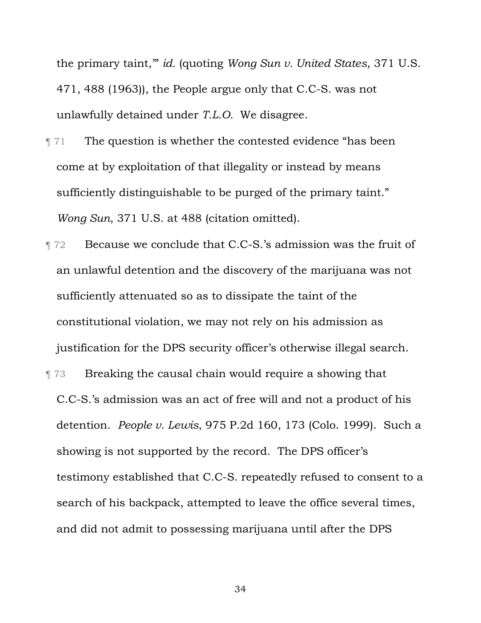the primary taint,'" *id.* (quoting *Wong Sun v. United States*, 371 U.S. 471, 488 (1963)), the People argue only that C.C-S. was not unlawfully detained under *T.L.O.* We disagree.

- **The question is whether the contested evidence "has been**" come at by exploitation of that illegality or instead by means sufficiently distinguishable to be purged of the primary taint." *Wong Sun*, 371 U.S. at 488 (citation omitted).
- ¶ 72 Because we conclude that C.C-S.'s admission was the fruit of an unlawful detention and the discovery of the marijuana was not sufficiently attenuated so as to dissipate the taint of the constitutional violation, we may not rely on his admission as justification for the DPS security officer's otherwise illegal search.
- ¶ 73 Breaking the causal chain would require a showing that C.C-S.'s admission was an act of free will and not a product of his detention. *People v. Lewis*, 975 P.2d 160, 173 (Colo. 1999). Such a showing is not supported by the record. The DPS officer's testimony established that C.C-S. repeatedly refused to consent to a search of his backpack, attempted to leave the office several times, and did not admit to possessing marijuana until after the DPS